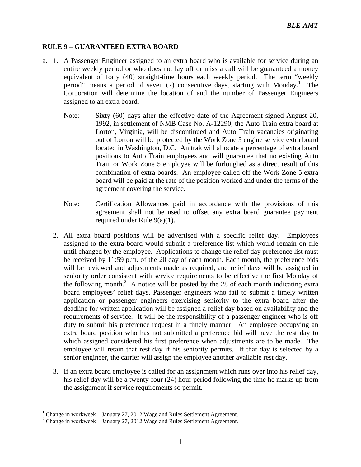## **RULE 9 – GUARANTEED EXTRA BOARD**

- a. 1. A Passenger Engineer assigned to an extra board who is available for service during an entire weekly period or who does not lay off or miss a call will be guaranteed a money equivalent of forty (40) straight-time hours each weekly period. The term "weekly period" means a period of seven (7) consecutive days, starting with Monday.<sup>1</sup> The Corporation will determine the location of and the number of Passenger Engineers assigned to an extra board.
	- Note: Sixty (60) days after the effective date of the Agreement signed August 20, 1992, in settlement of NMB Case No. A-12290, the Auto Train extra board at Lorton, Virginia, will be discontinued and Auto Train vacancies originating out of Lorton will be protected by the Work Zone 5 engine service extra board located in Washington, D.C. Amtrak will allocate a percentage of extra board positions to Auto Train employees and will guarantee that no existing Auto Train or Work Zone 5 employee will be furloughed as a direct result of this combination of extra boards. An employee called off the Work Zone 5 extra board will be paid at the rate of the position worked and under the terms of the agreement covering the service.
	- Note: Certification Allowances paid in accordance with the provisions of this agreement shall not be used to offset any extra board guarantee payment required under Rule 9(a)(1).
	- 2. All extra board positions will be advertised with a specific relief day. Employees assigned to the extra board would submit a preference list which would remain on file until changed by the employee. Applications to change the relief day preference list must be received by 11:59 p.m. of the 20 day of each month. Each month, the preference bids will be reviewed and adjustments made as required, and relief days will be assigned in seniority order consistent with service requirements to be effective the first Monday of the following month.<sup>2</sup> A notice will be posted by the 28 of each month indicating extra board employees' relief days. Passenger engineers who fail to submit a timely written application or passenger engineers exercising seniority to the extra board after the deadline for written application will be assigned a relief day based on availability and the requirements of service. It will be the responsibility of a passenger engineer who is off duty to submit his preference request in a timely manner. An employee occupying an extra board position who has not submitted a preference bid will have the rest day to which assigned considered his first preference when adjustments are to be made. The employee will retain that rest day if his seniority permits. If that day is selected by a senior engineer, the carrier will assign the employee another available rest day.
	- 3. If an extra board employee is called for an assignment which runs over into his relief day, his relief day will be a twenty-four (24) hour period following the time he marks up from the assignment if service requirements so permit.

1

<sup>&</sup>lt;sup>1</sup> Change in workweek – January 27, 2012 Wage and Rules Settlement Agreement.

 $2^2$  Change in workweek – January 27, 2012 Wage and Rules Settlement Agreement.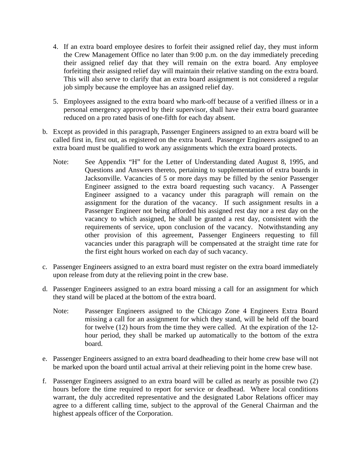- 4. If an extra board employee desires to forfeit their assigned relief day, they must inform the Crew Management Office no later than 9:00 p.m. on the day immediately preceding their assigned relief day that they will remain on the extra board. Any employee forfeiting their assigned relief day will maintain their relative standing on the extra board. This will also serve to clarify that an extra board assignment is not considered a regular job simply because the employee has an assigned relief day.
- 5. Employees assigned to the extra board who mark-off because of a verified illness or in a personal emergency approved by their supervisor, shall have their extra board guarantee reduced on a pro rated basis of one-fifth for each day absent.
- b. Except as provided in this paragraph, Passenger Engineers assigned to an extra board will be called first in, first out, as registered on the extra board. Passenger Engineers assigned to an extra board must be qualified to work any assignments which the extra board protects.
	- Note: See Appendix "H" for the Letter of Understanding dated August 8, 1995, and Questions and Answers thereto, pertaining to supplementation of extra boards in Jacksonville. Vacancies of 5 or more days may be filled by the senior Passenger Engineer assigned to the extra board requesting such vacancy. A Passenger Engineer assigned to a vacancy under this paragraph will remain on the assignment for the duration of the vacancy. If such assignment results in a Passenger Engineer not being afforded his assigned rest day nor a rest day on the vacancy to which assigned, he shall be granted a rest day, consistent with the requirements of service, upon conclusion of the vacancy. Notwithstanding any other provision of this agreement, Passenger Engineers requesting to fill vacancies under this paragraph will be compensated at the straight time rate for the first eight hours worked on each day of such vacancy.
- c. Passenger Engineers assigned to an extra board must register on the extra board immediately upon release from duty at the relieving point in the crew base.
- d. Passenger Engineers assigned to an extra board missing a call for an assignment for which they stand will be placed at the bottom of the extra board.
	- Note: Passenger Engineers assigned to the Chicago Zone 4 Engineers Extra Board missing a call for an assignment for which they stand, will be held off the board for twelve (12) hours from the time they were called. At the expiration of the 12 hour period, they shall be marked up automatically to the bottom of the extra board.
- e. Passenger Engineers assigned to an extra board deadheading to their home crew base will not be marked upon the board until actual arrival at their relieving point in the home crew base.
- f. Passenger Engineers assigned to an extra board will be called as nearly as possible two (2) hours before the time required to report for service or deadhead. Where local conditions warrant, the duly accredited representative and the designated Labor Relations officer may agree to a different calling time, subject to the approval of the General Chairman and the highest appeals officer of the Corporation.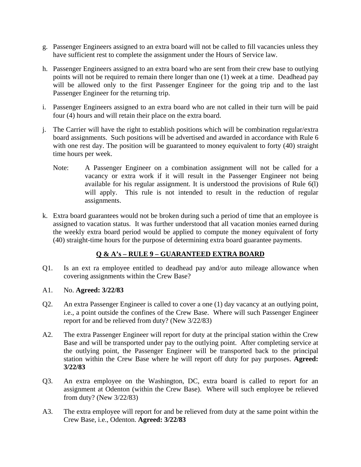- g. Passenger Engineers assigned to an extra board will not be called to fill vacancies unless they have sufficient rest to complete the assignment under the Hours of Service law.
- h. Passenger Engineers assigned to an extra board who are sent from their crew base to outlying points will not be required to remain there longer than one (1) week at a time. Deadhead pay will be allowed only to the first Passenger Engineer for the going trip and to the last Passenger Engineer for the returning trip.
- i. Passenger Engineers assigned to an extra board who are not called in their turn will be paid four (4) hours and will retain their place on the extra board.
- j. The Carrier will have the right to establish positions which will be combination regular/extra board assignments. Such positions will be advertised and awarded in accordance with Rule 6 with one rest day. The position will be guaranteed to money equivalent to forty (40) straight time hours per week.
	- Note: A Passenger Engineer on a combination assignment will not be called for a vacancy or extra work if it will result in the Passenger Engineer not being available for his regular assignment. It is understood the provisions of Rule 6(l) will apply. This rule is not intended to result in the reduction of regular assignments.
- k. Extra board guarantees would not be broken during such a period of time that an employee is assigned to vacation status. It was further understood that all vacation monies earned during the weekly extra board period would be applied to compute the money equivalent of forty (40) straight-time hours for the purpose of determining extra board guarantee payments.

# **Q & A's – RULE 9 – GUARANTEED EXTRA BOARD**

- Q1. Is an ext ra employee entitled to deadhead pay and/or auto mileage allowance when covering assignments within the Crew Base?
- A1. No. **Agreed: 3/22/83**
- Q2. An extra Passenger Engineer is called to cover a one (1) day vacancy at an outlying point, i.e., a point outside the confines of the Crew Base. Where will such Passenger Engineer report for and be relieved from duty? (New 3/22/83)
- A2. The extra Passenger Engineer will report for duty at the principal station within the Crew Base and will be transported under pay to the outlying point. After completing service at the outlying point, the Passenger Engineer will be transported back to the principal station within the Crew Base where he will report off duty for pay purposes. **Agreed: 3/22/83**
- Q3. An extra employee on the Washington, DC, extra board is called to report for an assignment at Odenton (within the Crew Base). Where will such employee be relieved from duty? (New 3/22/83)
- A3. The extra employee will report for and be relieved from duty at the same point within the Crew Base, i.e., Odenton. **Agreed: 3/22/83**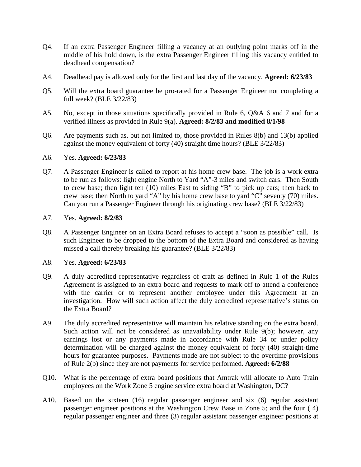- Q4. If an extra Passenger Engineer filling a vacancy at an outlying point marks off in the middle of his hold down, is the extra Passenger Engineer filling this vacancy entitled to deadhead compensation?
- A4. Deadhead pay is allowed only for the first and last day of the vacancy. **Agreed: 6/23/83**
- Q5. Will the extra board guarantee be pro-rated for a Passenger Engineer not completing a full week? (BLE 3/22/83)
- A5. No, except in those situations specifically provided in Rule 6, Q&A 6 and 7 and for a verified illness as provided in Rule 9(a). **Agreed: 8/2/83 and modified 8/1/98**
- Q6. Are payments such as, but not limited to, those provided in Rules 8(b) and 13(b) applied against the money equivalent of forty (40) straight time hours? (BLE 3/22/83)

#### A6. Yes. **Agreed: 6/23/83**

Q7. A Passenger Engineer is called to report at his home crew base. The job is a work extra to be run as follows: light engine North to Yard "A"-3 miles and switch cars. Then South to crew base; then light ten (10) miles East to siding "B" to pick up cars; then back to crew base; then North to yard "A" by his home crew base to yard "C" seventy (70) miles. Can you run a Passenger Engineer through his originating crew base? (BLE 3/22/83)

#### A7. Yes. **Agreed: 8/2/83**

Q8. A Passenger Engineer on an Extra Board refuses to accept a "soon as possible" call. Is such Engineer to be dropped to the bottom of the Extra Board and considered as having missed a call thereby breaking his guarantee? (BLE 3/22/83)

## A8. Yes. **Agreed: 6/23/83**

- Q9. A duly accredited representative regardless of craft as defined in Rule 1 of the Rules Agreement is assigned to an extra board and requests to mark off to attend a conference with the carrier or to represent another employee under this Agreement at an investigation. How will such action affect the duly accredited representative's status on the Extra Board?
- A9. The duly accredited representative will maintain his relative standing on the extra board. Such action will not be considered as unavailability under Rule 9(b); however, any earnings lost or any payments made in accordance with Rule 34 or under policy determination will be charged against the money equivalent of forty (40) straight-time hours for guarantee purposes. Payments made are not subject to the overtime provisions of Rule 2(b) since they are not payments for service performed. **Agreed: 6/2/88**
- Q10. What is the percentage of extra board positions that Amtrak will allocate to Auto Train employees on the Work Zone 5 engine service extra board at Washington, DC?
- A10. Based on the sixteen (16) regular passenger engineer and six (6) regular assistant passenger engineer positions at the Washington Crew Base in Zone 5; and the four ( 4) regular passenger engineer and three (3) regular assistant passenger engineer positions at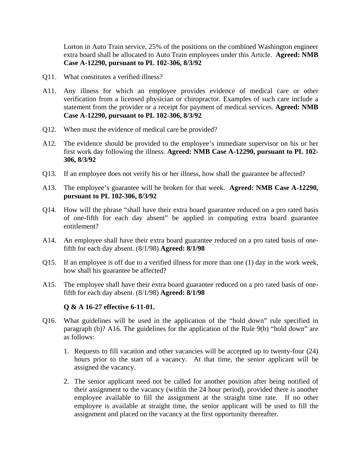Lorton in Auto Train service, 25% of the positions on the combined Washington engineer extra board shall be allocated to Auto Train employees under this Article. **Agreed: NMB Case A-12290, pursuant to PL 102-306, 8/3/92** 

- Q11. What constitutes a verified illness?
- A11. Any illness for which an employee provides evidence of medical care or other verification from a licensed physician or chiropractor. Examples of such care include a statement from the provider or a receipt for payment of medical services. **Agreed: NMB Case A-12290, pursuant to PL 102-306, 8/3/92**
- Q12. When must the evidence of medical care be provided?
- A12. The evidence should be provided to the employee's immediate supervisor on his or her first work day following the illness. **Agreed: NMB Case A-12290, pursuant to PL 102- 306, 8/3/92**
- Q13. If an employee does not verify his or her illness, how shall the guarantee be affected?
- A13. The employee's guarantee will be broken for that week. **Agreed: NMB Case A-12290, pursuant to PL 102-306, 8/3/92**
- Q14. How will the phrase "shall have their extra board guarantee reduced on a pro rated basis of one-fifth for each day absent" be applied in computing extra board guarantee entitlement?
- A14. An employee shall have their extra board guarantee reduced on a pro rated basis of onefifth for each day absent. (8/1/98) **Agreed: 8/1/98**
- Q15. If an employee is off due to a verified illness for more than one (1) day in the work week, how shall his guarantee be affected?
- A15. The employee shall have their extra board guarantee reduced on a pro rated basis of onefifth for each day absent. (8/1/98) **Agreed: 8/1/98**

## **Q & A 16-27 effective 6-11-01.**

- Q16. What guidelines will be used in the application of the "hold down" rule specified in paragraph (b)? A16. The guidelines for the application of the Rule 9(b) "hold down" are as follows:
	- 1. Requests to fill vacation and other vacancies will be accepted up to twenty-four (24) hours prior to the start of a vacancy. At that time, the senior applicant will be assigned the vacancy.
	- 2. The senior applicant need not be called for another position after being notified of their assignment to the vacancy (within the 24 hour period), provided there is another employee available to fill the assignment at the straight time rate. If no other employee is available at straight time, the senior applicant will be used to fill the assignment and placed on the vacancy at the first opportunity thereafter.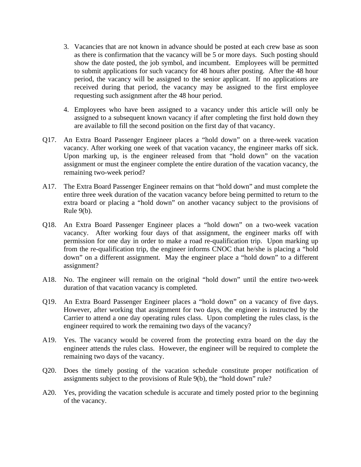- 3. Vacancies that are not known in advance should be posted at each crew base as soon as there is confirmation that the vacancy will be 5 or more days. Such posting should show the date posted, the job symbol, and incumbent. Employees will be permitted to submit applications for such vacancy for 48 hours after posting. After the 48 hour period, the vacancy will be assigned to the senior applicant. If no applications are received during that period, the vacancy may be assigned to the first employee requesting such assignment after the 48 hour period.
- 4. Employees who have been assigned to a vacancy under this article will only be assigned to a subsequent known vacancy if after completing the first hold down they are available to fill the second position on the first day of that vacancy.
- Q17. An Extra Board Passenger Engineer places a "hold down" on a three-week vacation vacancy. After working one week of that vacation vacancy, the engineer marks off sick. Upon marking up, is the engineer released from that "hold down" on the vacation assignment or must the engineer complete the entire duration of the vacation vacancy, the remaining two-week period?
- A17. The Extra Board Passenger Engineer remains on that "hold down" and must complete the entire three week duration of the vacation vacancy before being permitted to return to the extra board or placing a "hold down" on another vacancy subject to the provisions of Rule 9(b).
- Q18. An Extra Board Passenger Engineer places a "hold down" on a two-week vacation vacancy. After working four days of that assignment, the engineer marks off with permission for one day in order to make a road re-qualification trip. Upon marking up from the re-qualification trip, the engineer informs CNOC that he/she is placing a "hold down" on a different assignment. May the engineer place a "hold down" to a different assignment?
- A18. No. The engineer will remain on the original "hold down" until the entire two-week duration of that vacation vacancy is completed.
- Q19. An Extra Board Passenger Engineer places a "hold down" on a vacancy of five days. However, after working that assignment for two days, the engineer is instructed by the Carrier to attend a one day operating rules class. Upon completing the rules class, is the engineer required to work the remaining two days of the vacancy?
- A19. Yes. The vacancy would be covered from the protecting extra board on the day the engineer attends the rules class. However, the engineer will be required to complete the remaining two days of the vacancy.
- Q20. Does the timely posting of the vacation schedule constitute proper notification of assignments subject to the provisions of Rule 9(b), the "hold down" rule?
- A20. Yes, providing the vacation schedule is accurate and timely posted prior to the beginning of the vacancy.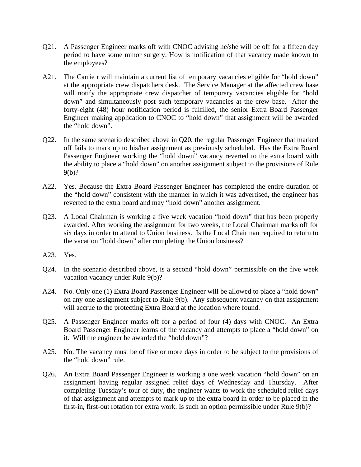- Q21. A Passenger Engineer marks off with CNOC advising he/she will be off for a fifteen day period to have some minor surgery. How is notification of that vacancy made known to the employees?
- A21. The Carrie r will maintain a current list of temporary vacancies eligible for "hold down" at the appropriate crew dispatchers desk. The Service Manager at the affected crew base will notify the appropriate crew dispatcher of temporary vacancies eligible for "hold down" and simultaneously post such temporary vacancies at the crew base. After the forty-eight (48) hour notification period is fulfilled, the senior Extra Board Passenger Engineer making application to CNOC to "hold down" that assignment will be awarded the "hold down".
- Q22. In the same scenario described above in Q20, the regular Passenger Engineer that marked off fails to mark up to his/her assignment as previously scheduled. Has the Extra Board Passenger Engineer working the "hold down" vacancy reverted to the extra board with the ability to place a "hold down" on another assignment subject to the provisions of Rule 9(b)?
- A22. Yes. Because the Extra Board Passenger Engineer has completed the entire duration of the "hold down" consistent with the manner in which it was advertised, the engineer has reverted to the extra board and may "hold down" another assignment.
- Q23. A Local Chairman is working a five week vacation "hold down" that has been properly awarded. After working the assignment for two weeks, the Local Chairman marks off for six days in order to attend to Union business. Is the Local Chairman required to return to the vacation "hold down" after completing the Union business?
- A23. Yes.
- Q24. In the scenario described above, is a second "hold down" permissible on the five week vacation vacancy under Rule 9(b)?
- A24. No. Only one (1) Extra Board Passenger Engineer will be allowed to place a "hold down" on any one assignment subject to Rule 9(b). Any subsequent vacancy on that assignment will accrue to the protecting Extra Board at the location where found.
- Q25. A Passenger Engineer marks off for a period of four (4) days with CNOC. An Extra Board Passenger Engineer learns of the vacancy and attempts to place a "hold down" on it. Will the engineer be awarded the "hold down"?
- A25. No. The vacancy must be of five or more days in order to be subject to the provisions of the "hold down" rule.
- Q26. An Extra Board Passenger Engineer is working a one week vacation "hold down" on an assignment having regular assigned relief days of Wednesday and Thursday. After completing Tuesday's tour of duty, the engineer wants to work the scheduled relief days of that assignment and attempts to mark up to the extra board in order to be placed in the first-in, first-out rotation for extra work. Is such an option permissible under Rule 9(b)?